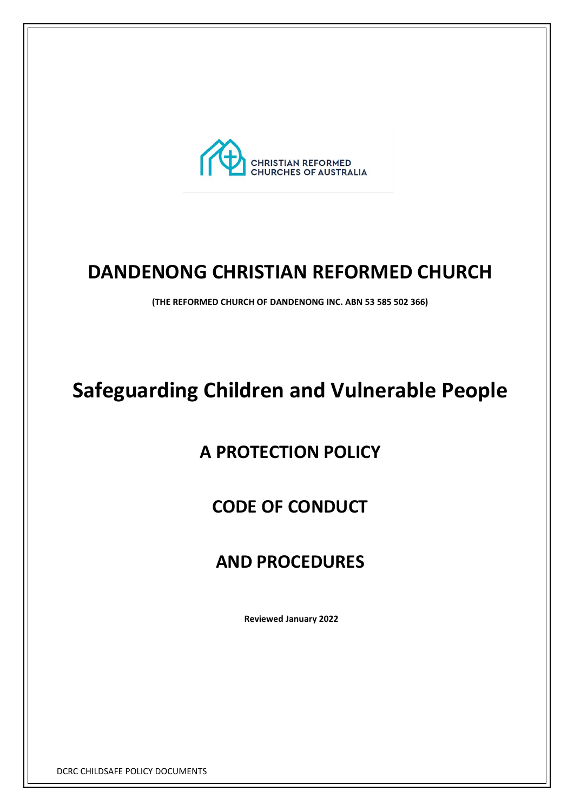

# **DANDENONG CHRISTIAN REFORMED CHURCH**

**(THE REFORMED CHURCH OF DANDENONG INC. ABN 53 585 502 366)** 

# **Safeguarding Children and Vulnerable People**

# **A PROTECTION POLICY**

# **CODE OF CONDUCT**

# **AND PROCEDURES**

**Reviewed January 2022**

DCRC CHILDSAFE POLICY DOCUMENTS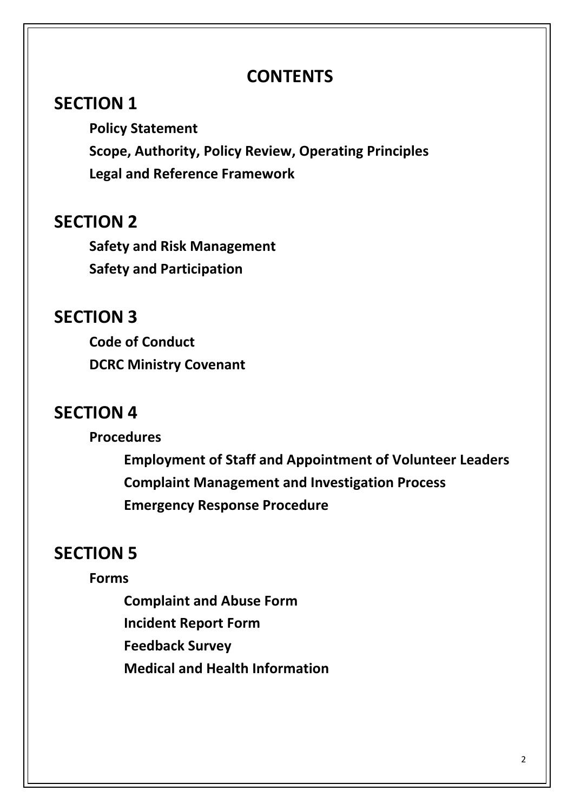# **CONTENTS**

# **SECTION 1**

**Policy Statement Scope, Authority, Policy Review, Operating Principles Legal and Reference Framework**

# **SECTION 2**

**Safety and Risk Management Safety and Participation** 

# **SECTION 3**

**Code of Conduct DCRC Ministry Covenant**

# **SECTION 4**

**Procedures**

**Employment of Staff and Appointment of Volunteer Leaders Complaint Management and Investigation Process Emergency Response Procedure**

# **SECTION 5**

### **Forms**

**Complaint and Abuse Form Incident Report Form Feedback Survey Medical and Health Information**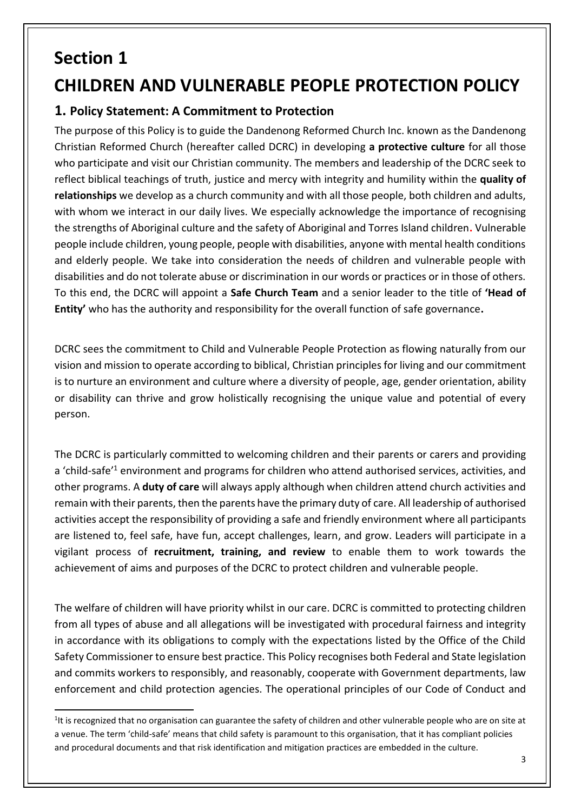# **Section 1**

# **CHILDREN AND VULNERABLE PEOPLE PROTECTION POLICY**

### **1. Policy Statement: A Commitment to Protection**

The purpose of this Policy is to guide the Dandenong Reformed Church Inc. known as the Dandenong Christian Reformed Church (hereafter called DCRC) in developing **a protective culture** for all those who participate and visit our Christian community. The members and leadership of the DCRC seek to reflect biblical teachings of truth, justice and mercy with integrity and humility within the **quality of relationships** we develop as a church community and with all those people, both children and adults, with whom we interact in our daily lives. We especially acknowledge the importance of recognising the strengths of Aboriginal culture and the safety of Aboriginal and Torres Island children**.** Vulnerable people include children, young people, people with disabilities, anyone with mental health conditions and elderly people. We take into consideration the needs of children and vulnerable people with disabilities and do not tolerate abuse or discrimination in our words or practices or in those of others. To this end, the DCRC will appoint a **Safe Church Team** and a senior leader to the title of **'Head of Entity'** who has the authority and responsibility for the overall function of safe governance**.**

DCRC sees the commitment to Child and Vulnerable People Protection as flowing naturally from our vision and mission to operate according to biblical, Christian principles for living and our commitment is to nurture an environment and culture where a diversity of people, age, gender orientation, ability or disability can thrive and grow holistically recognising the unique value and potential of every person.

The DCRC is particularly committed to welcoming children and their parents or carers and providing a 'child-safe'<sup>1</sup> environment and programs for children who attend authorised services, activities, and other programs. A **duty of care** will always apply although when children attend church activities and remain with their parents, then the parents have the primary duty of care. All leadership of authorised activities accept the responsibility of providing a safe and friendly environment where all participants are listened to, feel safe, have fun, accept challenges, learn, and grow. Leaders will participate in a vigilant process of **recruitment, training, and review** to enable them to work towards the achievement of aims and purposes of the DCRC to protect children and vulnerable people.

The welfare of children will have priority whilst in our care. DCRC is committed to protecting children from all types of abuse and all allegations will be investigated with procedural fairness and integrity in accordance with its obligations to comply with the expectations listed by the Office of the Child Safety Commissioner to ensure best practice. This Policy recognises both Federal and State legislation and commits workers to responsibly, and reasonably, cooperate with Government departments, law enforcement and child protection agencies. The operational principles of our Code of Conduct and

<sup>&</sup>lt;sup>1</sup>It is recognized that no organisation can guarantee the safety of children and other vulnerable people who are on site at a venue. The term 'child-safe' means that child safety is paramount to this organisation, that it has compliant policies and procedural documents and that risk identification and mitigation practices are embedded in the culture.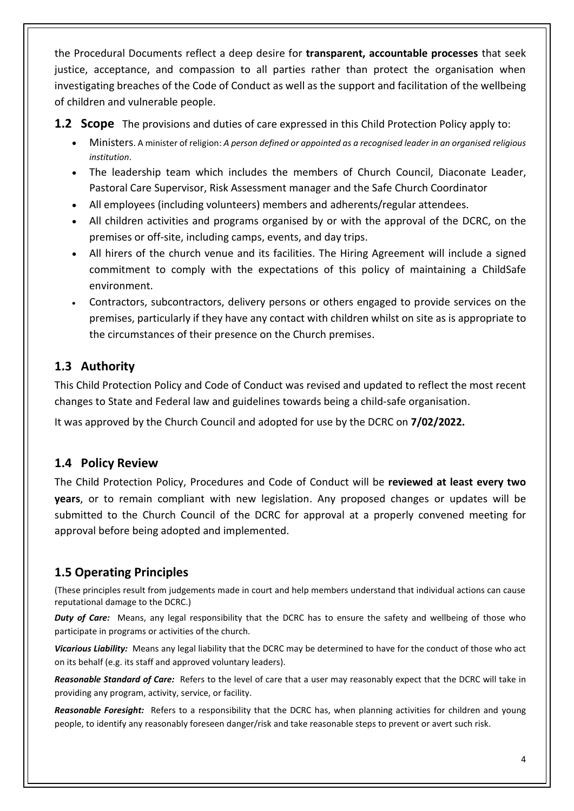the Procedural Documents reflect a deep desire for **transparent, accountable processes** that seek justice, acceptance, and compassion to all parties rather than protect the organisation when investigating breaches of the Code of Conduct as well as the support and facilitation of the wellbeing of children and vulnerable people.

**1.2 Scope** The provisions and duties of care expressed in this Child Protection Policy apply to:

- Ministers. A minister of religion: *A person defined or appointed as a recognised leader in an organised religious institution*.
- The leadership team which includes the members of Church Council, Diaconate Leader, Pastoral Care Supervisor, Risk Assessment manager and the Safe Church Coordinator
- All employees (including volunteers) members and adherents/regular attendees.
- All children activities and programs organised by or with the approval of the DCRC, on the premises or off-site, including camps, events, and day trips.
- All hirers of the church venue and its facilities. The Hiring Agreement will include a signed commitment to comply with the expectations of this policy of maintaining a ChildSafe environment.
- Contractors, subcontractors, delivery persons or others engaged to provide services on the premises, particularly if they have any contact with children whilst on site as is appropriate to the circumstances of their presence on the Church premises.

### **1.3 Authority**

This Child Protection Policy and Code of Conduct was revised and updated to reflect the most recent changes to State and Federal law and guidelines towards being a child-safe organisation.

It was approved by the Church Council and adopted for use by the DCRC on **7/02/2022.**

### **1.4 Policy Review**

The Child Protection Policy, Procedures and Code of Conduct will be **reviewed at least every two years**, or to remain compliant with new legislation. Any proposed changes or updates will be submitted to the Church Council of the DCRC for approval at a properly convened meeting for approval before being adopted and implemented.

### **1.5 Operating Principles**

(These principles result from judgements made in court and help members understand that individual actions can cause reputational damage to the DCRC.)

*Duty of Care:* Means, any legal responsibility that the DCRC has to ensure the safety and wellbeing of those who participate in programs or activities of the church.

*Vicarious Liability:* Means any legal liability that the DCRC may be determined to have for the conduct of those who act on its behalf (e.g. its staff and approved voluntary leaders).

*Reasonable Standard of Care:*Refers to the level of care that a user may reasonably expect that the DCRC will take in providing any program, activity, service, or facility.

*Reasonable Foresight:* Refers to a responsibility that the DCRC has, when planning activities for children and young people, to identify any reasonably foreseen danger/risk and take reasonable steps to prevent or avert such risk.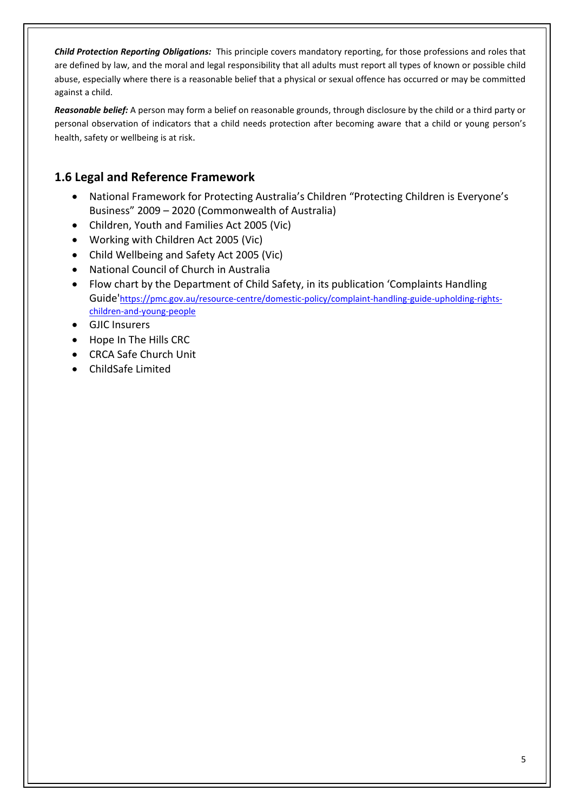*Child Protection Reporting Obligations:* This principle covers mandatory reporting, for those professions and roles that are defined by law, and the moral and legal responsibility that all adults must report all types of known or possible child abuse, especially where there is a reasonable belief that a physical or sexual offence has occurred or may be committed against a child.

*Reasonable belief:* A person may form a belief on reasonable grounds, through disclosure by the child or a third party or personal observation of indicators that a child needs protection after becoming aware that a child or young person's health, safety or wellbeing is at risk.

### **1.6 Legal and Reference Framework**

- National Framework for Protecting Australia's Children "Protecting Children is Everyone's Business" 2009 – 2020 (Commonwealth of Australia)
- Children, Youth and Families Act 2005 (Vic)
- Working with Children Act 2005 (Vic)
- Child Wellbeing and Safety Act 2005 (Vic)
- National Council of Church in Australia
- Flow chart by the Department of Child Safety, in its publication 'Complaints Handling Guide'[https://pmc.gov.au/resource-centre/domestic-policy/complaint-handling-guide-upholding-rights](https://pmc.gov.au/resource-centre/domestic-policy/complaint-handling-guide-upholding-rights-children-and-young-people)[children-and-young-people](https://pmc.gov.au/resource-centre/domestic-policy/complaint-handling-guide-upholding-rights-children-and-young-people)
- GJIC Insurers
- Hope In The Hills CRC
- CRCA Safe Church Unit
- ChildSafe Limited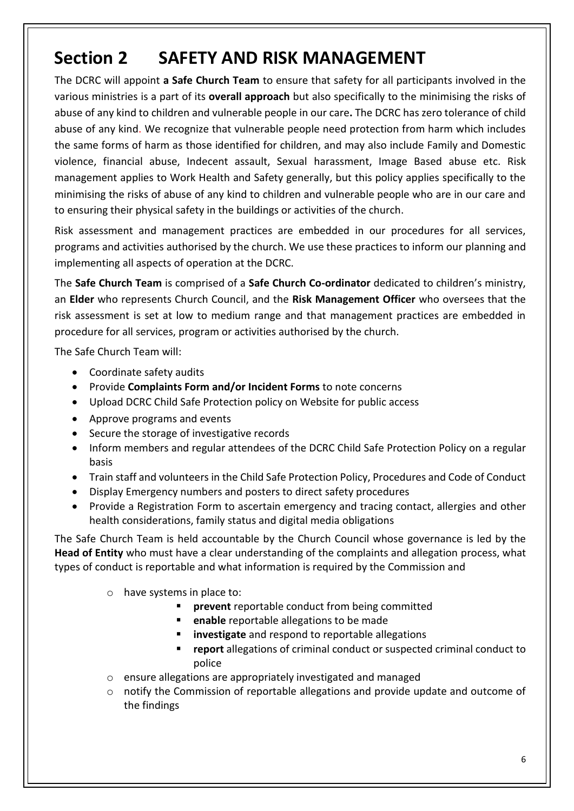# **Section 2 SAFETY AND RISK MANAGEMENT**

The DCRC will appoint **a Safe Church Team** to ensure that safety for all participants involved in the various ministries is a part of its **overall approach** but also specifically to the minimising the risks of abuse of any kind to children and vulnerable people in our care**.** The DCRC has zero tolerance of child abuse of any kind. We recognize that vulnerable people need protection from harm which includes the same forms of harm as those identified for children, and may also include Family and Domestic violence, financial abuse, Indecent assault, Sexual harassment, Image Based abuse etc. Risk management applies to Work Health and Safety generally, but this policy applies specifically to the minimising the risks of abuse of any kind to children and vulnerable people who are in our care and to ensuring their physical safety in the buildings or activities of the church.

Risk assessment and management practices are embedded in our procedures for all services, programs and activities authorised by the church. We use these practices to inform our planning and implementing all aspects of operation at the DCRC.

The **Safe Church Team** is comprised of a **Safe Church Co-ordinator** dedicated to children's ministry, an **Elder** who represents Church Council, and the **Risk Management Officer** who oversees that the risk assessment is set at low to medium range and that management practices are embedded in procedure for all services, program or activities authorised by the church.

The Safe Church Team will:

- Coordinate safety audits
- Provide **Complaints Form and/or Incident Forms** to note concerns
- Upload DCRC Child Safe Protection policy on Website for public access
- Approve programs and events
- Secure the storage of investigative records
- Inform members and regular attendees of the DCRC Child Safe Protection Policy on a regular basis
- Train staff and volunteers in the Child Safe Protection Policy, Procedures and Code of Conduct
- Display Emergency numbers and posters to direct safety procedures
- Provide a Registration Form to ascertain emergency and tracing contact, allergies and other health considerations, family status and digital media obligations

The Safe Church Team is held accountable by the Church Council whose governance is led by the **Head of Entity** who must have a clear understanding of the complaints and allegation process, what types of conduct is reportable and what information is required by the Commission and

- o have systems in place to:
	- **<u>■**</u> prevent reportable conduct from being committed
		- **enable** reportable allegations to be made
		- **investigate** and respond to reportable allegations
		- report allegations of criminal conduct or suspected criminal conduct to police
- o ensure allegations are appropriately investigated and managed
- o notify the Commission of reportable allegations and provide update and outcome of the findings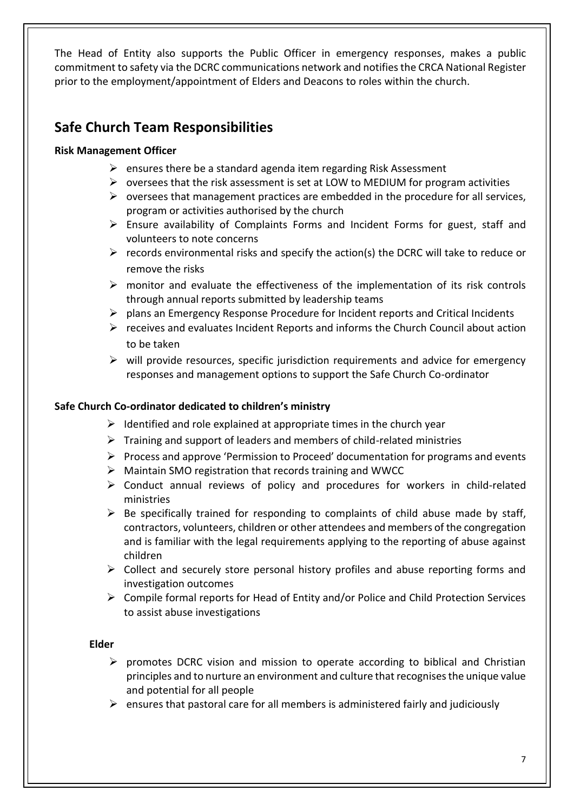The Head of Entity also supports the Public Officer in emergency responses, makes a public commitment to safety via the DCRC communications network and notifies the CRCA National Register prior to the employment/appointment of Elders and Deacons to roles within the church.

### **Safe Church Team Responsibilities**

#### **Risk Management Officer**

- $\triangleright$  ensures there be a standard agenda item regarding Risk Assessment
- $\triangleright$  oversees that the risk assessment is set at LOW to MEDIUM for program activities
- $\triangleright$  oversees that management practices are embedded in the procedure for all services, program or activities authorised by the church
- $\triangleright$  Ensure availability of Complaints Forms and Incident Forms for guest, staff and volunteers to note concerns
- $\triangleright$  records environmental risks and specify the action(s) the DCRC will take to reduce or remove the risks
- $\triangleright$  monitor and evaluate the effectiveness of the implementation of its risk controls through annual reports submitted by leadership teams
- $\triangleright$  plans an Emergency Response Procedure for Incident reports and Critical Incidents
- $\triangleright$  receives and evaluates Incident Reports and informs the Church Council about action to be taken
- $\triangleright$  will provide resources, specific jurisdiction requirements and advice for emergency responses and management options to support the Safe Church Co-ordinator

#### **Safe Church Co-ordinator dedicated to children's ministry**

- $\triangleright$  Identified and role explained at appropriate times in the church year
- $\triangleright$  Training and support of leaders and members of child-related ministries
- $\triangleright$  Process and approve 'Permission to Proceed' documentation for programs and events
- ➢ Maintain SMO registration that records training and WWCC
- ➢ Conduct annual reviews of policy and procedures for workers in child-related ministries
- $\triangleright$  Be specifically trained for responding to complaints of child abuse made by staff, contractors, volunteers, children or other attendees and members of the congregation and is familiar with the legal requirements applying to the reporting of abuse against children
- $\triangleright$  Collect and securely store personal history profiles and abuse reporting forms and investigation outcomes
- ➢ Compile formal reports for Head of Entity and/or Police and Child Protection Services to assist abuse investigations

#### **Elder**

- $\triangleright$  promotes DCRC vision and mission to operate according to biblical and Christian principles and to nurture an environment and culture that recognises the unique value and potential for all people
- $\triangleright$  ensures that pastoral care for all members is administered fairly and judiciously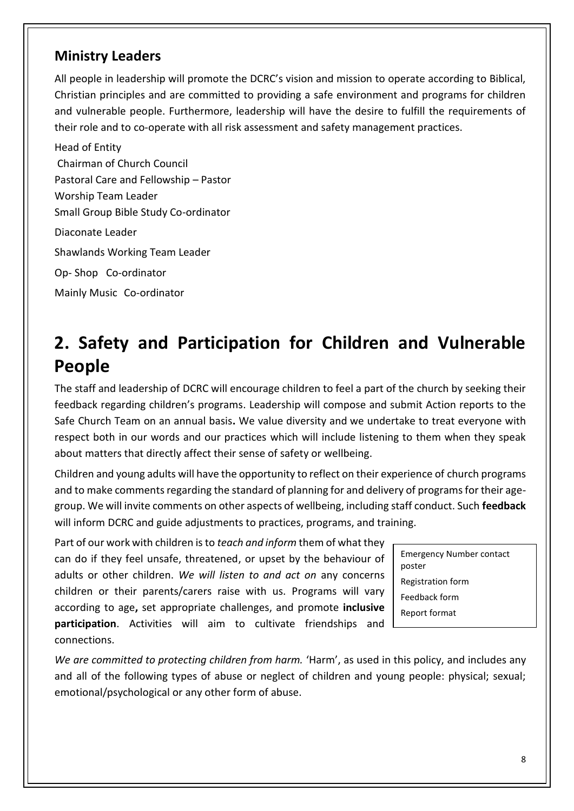### **Ministry Leaders**

All people in leadership will promote the DCRC's vision and mission to operate according to Biblical, Christian principles and are committed to providing a safe environment and programs for children and vulnerable people. Furthermore, leadership will have the desire to fulfill the requirements of their role and to co-operate with all risk assessment and safety management practices.

Head of Entity Chairman of Church Council Pastoral Care and Fellowship – Pastor Worship Team Leader Small Group Bible Study Co-ordinator Diaconate Leader Shawlands Working Team Leader Op- Shop Co-ordinator Mainly Music Co-ordinator

# **2. Safety and Participation for Children and Vulnerable People**

The staff and leadership of DCRC will encourage children to feel a part of the church by seeking their feedback regarding children's programs. Leadership will compose and submit Action reports to the Safe Church Team on an annual basis**.** We value diversity and we undertake to treat everyone with respect both in our words and our practices which will include listening to them when they speak about matters that directly affect their sense of safety or wellbeing.

Children and young adults will have the opportunity to reflect on their experience of church programs and to make comments regarding the standard of planning for and delivery of programs for their agegroup. We will invite comments on other aspects of wellbeing, including staff conduct. Such **feedback** will inform DCRC and guide adjustments to practices, programs, and training.

Part of our work with children is to *teach and inform* them of what they can do if they feel unsafe, threatened, or upset by the behaviour of adults or other children. *We will listen to and act on* any concerns children or their parents/carers raise with us. Programs will vary according to age**,** set appropriate challenges, and promote **inclusive participation**. Activities will aim to cultivate friendships and connections.

Emergency Number contact poster Registration form Feedback form Report format

*We are committed to protecting children from harm.* 'Harm', as used in this policy, and includes any and all of the following types of abuse or neglect of children and young people: physical; sexual; emotional/psychological or any other form of abuse.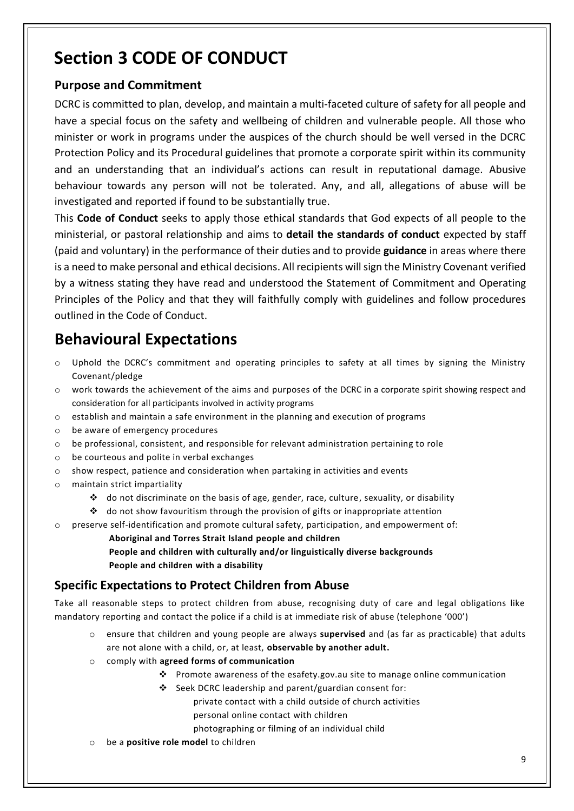# **Section 3 CODE OF CONDUCT**

### **Purpose and Commitment**

DCRC is committed to plan, develop, and maintain a multi-faceted culture of safety for all people and have a special focus on the safety and wellbeing of children and vulnerable people. All those who minister or work in programs under the auspices of the church should be well versed in the DCRC Protection Policy and its Procedural guidelines that promote a corporate spirit within its community and an understanding that an individual's actions can result in reputational damage. Abusive behaviour towards any person will not be tolerated. Any, and all, allegations of abuse will be investigated and reported if found to be substantially true.

This **Code of Conduct** seeks to apply those ethical standards that God expects of all people to the ministerial, or pastoral relationship and aims to **detail the standards of conduct** expected by staff (paid and voluntary) in the performance of their duties and to provide **guidance** in areas where there is a need to make personal and ethical decisions. All recipients will sign the Ministry Covenant verified by a witness stating they have read and understood the Statement of Commitment and Operating Principles of the Policy and that they will faithfully comply with guidelines and follow procedures outlined in the Code of Conduct.

# **Behavioural Expectations**

- $\circ$  Uphold the DCRC's commitment and operating principles to safety at all times by signing the Ministry Covenant/pledge
- o work towards the achievement of the aims and purposes of the DCRC in a corporate spirit showing respect and consideration for all participants involved in activity programs
- $\circ$  establish and maintain a safe environment in the planning and execution of programs
- o be aware of emergency procedures
- o be professional, consistent, and responsible for relevant administration pertaining to role
- o be courteous and polite in verbal exchanges
- $\circ$  show respect, patience and consideration when partaking in activities and events
- o maintain strict impartiality
	- ❖ do not discriminate on the basis of age, gender, race, culture, sexuality, or disability
	- $\cdot \cdot$  do not show favouritism through the provision of gifts or inappropriate attention
- o preserve self-identification and promote cultural safety, participation, and empowerment of:
	- **Aboriginal and Torres Strait Island people and children**

**People and children with culturally and/or linguistically diverse backgrounds People and children with a disability**

### **Specific Expectations to Protect Children from Abuse**

Take all reasonable steps to protect children from abuse, recognising duty of care and legal obligations like mandatory reporting and contact the police if a child is at immediate risk of abuse (telephone '000')

- o ensure that children and young people are always **supervised** and (as far as practicable) that adults are not alone with a child, or, at least, **observable by another adult.**
- o comply with **agreed forms of communication**
	- ❖ Promote awareness of the esafety.gov.au site to manage online communication
		- ❖ Seek DCRC leadership and parent/guardian consent for:

private contact with a child outside of church activities

- personal online contact with children
- photographing or filming of an individual child
- be a **positive role model** to children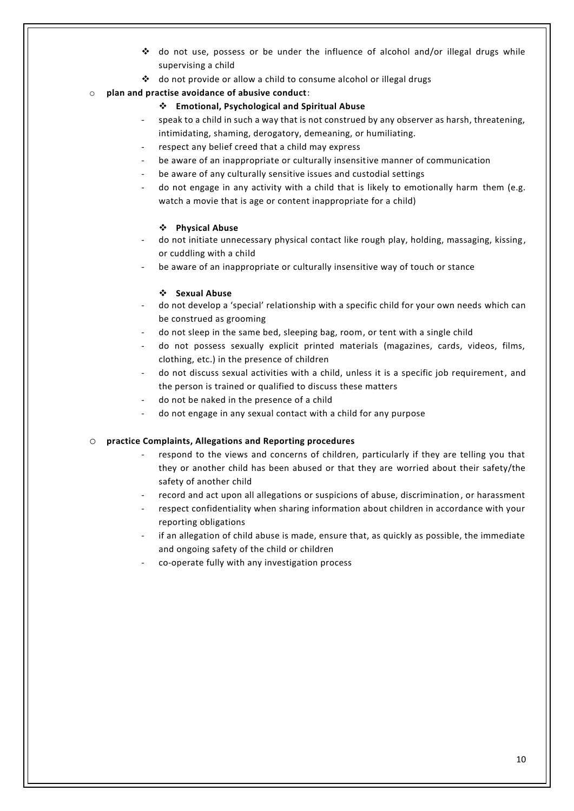- ❖ do not use, possess or be under the influence of alcohol and/or illegal drugs while supervising a child
- ❖ do not provide or allow a child to consume alcohol or illegal drugs

#### o **plan and practise avoidance of abusive conduct**:

#### ❖ **Emotional, Psychological and Spiritual Abuse**

- speak to a child in such a way that is not construed by any observer as harsh, threatening, intimidating, shaming, derogatory, demeaning, or humiliating.
- respect any belief creed that a child may express
- be aware of an inappropriate or culturally insensitive manner of communication
- be aware of any culturally sensitive issues and custodial settings
- do not engage in any activity with a child that is likely to emotionally harm them (e.g. watch a movie that is age or content inappropriate for a child)

#### ❖ **Physical Abuse**

- do not initiate unnecessary physical contact like rough play, holding, massaging, kissing, or cuddling with a child
- be aware of an inappropriate or culturally insensitive way of touch or stance

#### ❖ **Sexual Abuse**

- do not develop a 'special' relationship with a specific child for your own needs which can be construed as grooming
- do not sleep in the same bed, sleeping bag, room, or tent with a single child
- do not possess sexually explicit printed materials (magazines, cards, videos, films, clothing, etc.) in the presence of children
- do not discuss sexual activities with a child, unless it is a specific job requirement, and the person is trained or qualified to discuss these matters
- do not be naked in the presence of a child
- do not engage in any sexual contact with a child for any purpose

#### o **practice Complaints, Allegations and Reporting procedures**

- respond to the views and concerns of children, particularly if they are telling you that they or another child has been abused or that they are worried about their safety/the safety of another child
- record and act upon all allegations or suspicions of abuse, discrimination, or harassment
- respect confidentiality when sharing information about children in accordance with your reporting obligations
- if an allegation of child abuse is made, ensure that, as quickly as possible, the immediate and ongoing safety of the child or children
- co-operate fully with any investigation process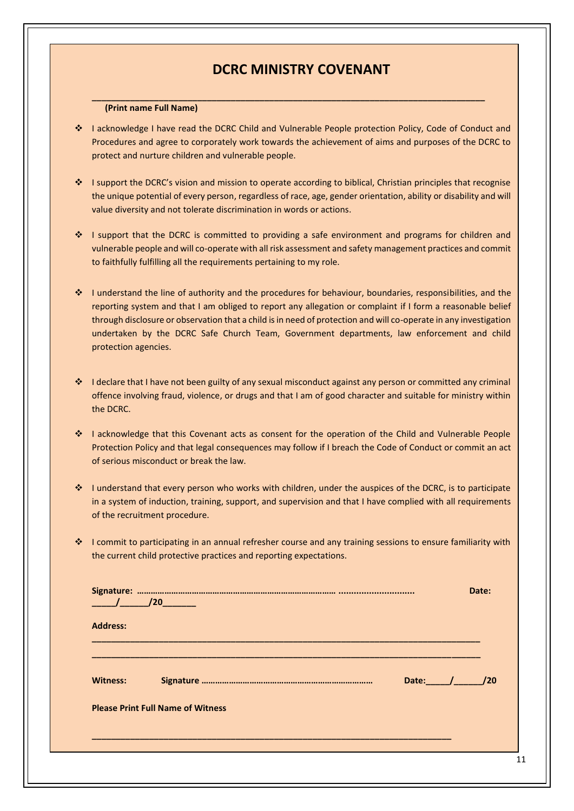### **DCRC MINISTRY COVENANT**

#### **(Print name Full Name)**

❖ I acknowledge I have read the DCRC Child and Vulnerable People protection Policy, Code of Conduct and Procedures and agree to corporately work towards the achievement of aims and purposes of the DCRC to protect and nurture children and vulnerable people.

**\_\_\_\_\_\_\_\_\_\_\_\_\_\_\_\_\_\_\_\_\_\_\_\_\_\_\_\_\_\_\_\_\_\_\_\_\_\_\_\_\_\_\_\_\_\_\_\_\_\_\_\_\_\_\_\_\_\_\_\_\_\_\_\_\_\_\_\_\_\_\_\_\_\_\_\_\_\_\_\_\_\_**

- ❖ I support the DCRC's vision and mission to operate according to biblical, Christian principles that recognise the unique potential of every person, regardless of race, age, gender orientation, ability or disability and will value diversity and not tolerate discrimination in words or actions.
- ❖ I support that the DCRC is committed to providing a safe environment and programs for children and vulnerable people and will co-operate with all risk assessment and safety management practices and commit to faithfully fulfilling all the requirements pertaining to my role.
- ❖ I understand the line of authority and the procedures for behaviour, boundaries, responsibilities, and the reporting system and that I am obliged to report any allegation or complaint if I form a reasonable belief through disclosure or observation that a child is in need of protection and will co-operate in any investigation undertaken by the DCRC Safe Church Team, Government departments, law enforcement and child protection agencies.
- ❖ I declare that I have not been guilty of any sexual misconduct against any person or committed any criminal offence involving fraud, violence, or drugs and that I am of good character and suitable for ministry within the DCRC.
- ❖ I acknowledge that this Covenant acts as consent for the operation of the Child and Vulnerable People Protection Policy and that legal consequences may follow if I breach the Code of Conduct or commit an act of serious misconduct or break the law.
- ❖ I understand that every person who works with children, under the auspices of the DCRC, is to participate in a system of induction, training, support, and supervision and that I have complied with all requirements of the recruitment procedure.
- ❖ I commit to participating in an annual refresher course and any training sessions to ensure familiarity with the current child protective practices and reporting expectations.

| $\frac{1}{20}$ / $\frac{1}{20}$ |                                          |                     | Date: |
|---------------------------------|------------------------------------------|---------------------|-------|
| <b>Address:</b>                 |                                          |                     |       |
| <b>Witness:</b>                 |                                          | Date: $\sqrt{2\pi}$ | 120   |
|                                 | <b>Please Print Full Name of Witness</b> |                     |       |
|                                 |                                          |                     |       |
|                                 |                                          |                     |       |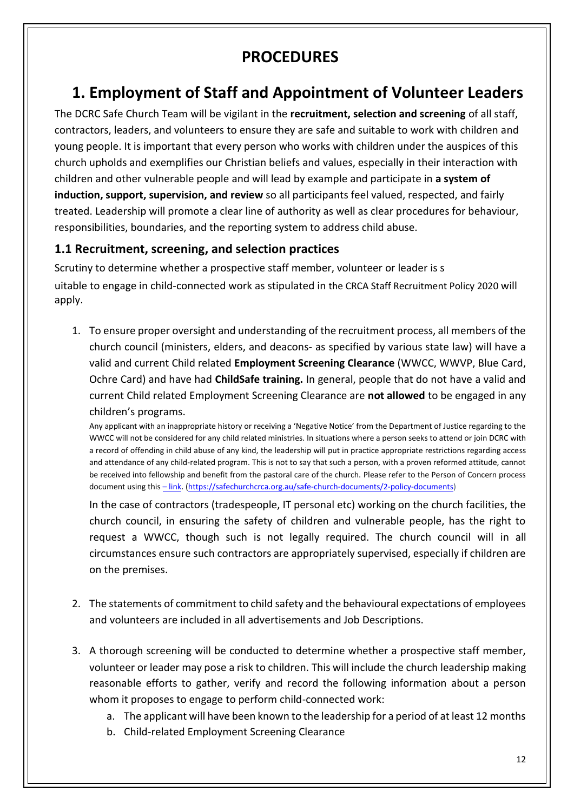# **PROCEDURES**

# **1. Employment of Staff and Appointment of Volunteer Leaders**

The DCRC Safe Church Team will be vigilant in the **recruitment, selection and screening** of all staff, contractors, leaders, and volunteers to ensure they are safe and suitable to work with children and young people. It is important that every person who works with children under the auspices of this church upholds and exemplifies our Christian beliefs and values, especially in their interaction with children and other vulnerable people and will lead by example and participate in **a system of induction, support, supervision, and review** so all participants feel valued, respected, and fairly treated. Leadership will promote a clear line of authority as well as clear procedures for behaviour, responsibilities, boundaries, and the reporting system to address child abuse.

### **1.1 Recruitment, screening, and selection practices**

Scrutiny to determine whether a prospective staff member, volunteer or leader is s uitable to engage in child-connected work as stipulated in the CRCA Staff Recruitment Policy 2020 will apply.

1. To ensure proper oversight and understanding of the recruitment process, all members of the church council (ministers, elders, and deacons- as specified by various state law) will have a valid and current Child related **Employment Screening Clearance** (WWCC, WWVP, Blue Card, Ochre Card) and have had **ChildSafe training.** In general, people that do not have a valid and current Child related Employment Screening Clearance are **not allowed** to be engaged in any children's programs.

Any applicant with an inappropriate history or receiving a 'Negative Notice' from the Department of Justice regarding to the WWCC will not be considered for any child related ministries. In situations where a person seeks to attend or join DCRC with a record of offending in child abuse of any kind, the leadership will put in practice appropriate restrictions regarding access and attendance of any child-related program. This is not to say that such a person, with a proven reformed attitude, cannot be received into fellowship and benefit from the pastoral care of the church. Please refer to the Person of Concern process document using this – [link.](https://safechurchcrca.org.au/safe-church-documents/2-policy-documents) [\(https://safechurchcrca.org.au/safe-church-documents/2-policy-documents\)](https://apac01.safelinks.protection.outlook.com/?url=https%3A%2F%2Fsafechurchcrca.org.au%2Fsafe-church-documents%2F2-policy-documents&data=04%7C01%7C%7C321d7d64f98c41d6958408d915c04fb1%7C84df9e7fe9f640afb435aaaaaaaaaaaa%7C1%7C0%7C637564737993456653%7CUnknown%7CTWFpbGZsb3d8eyJWIjoiMC4wLjAwMDAiLCJQIjoiV2luMzIiLCJBTiI6Ik1haWwiLCJXVCI6Mn0%3D%7C1000&sdata=kdfglV%2FpHEggHx5%2F9NUfYzH9dIGZfemO0RFd9UUWM%2B8%3D&reserved=0)

In the case of contractors (tradespeople, IT personal etc) working on the church facilities, the church council, in ensuring the safety of children and vulnerable people, has the right to request a WWCC, though such is not legally required. The church council will in all circumstances ensure such contractors are appropriately supervised, especially if children are on the premises.

- 2. The statements of commitment to child safety and the behavioural expectations of employees and volunteers are included in all advertisements and Job Descriptions.
- 3. A thorough screening will be conducted to determine whether a prospective staff member, volunteer or leader may pose a risk to children. This will include the church leadership making reasonable efforts to gather, verify and record the following information about a person whom it proposes to engage to perform child-connected work:
	- a. The applicant will have been known to the leadership for a period of at least 12 months
	- b. Child-related Employment Screening Clearance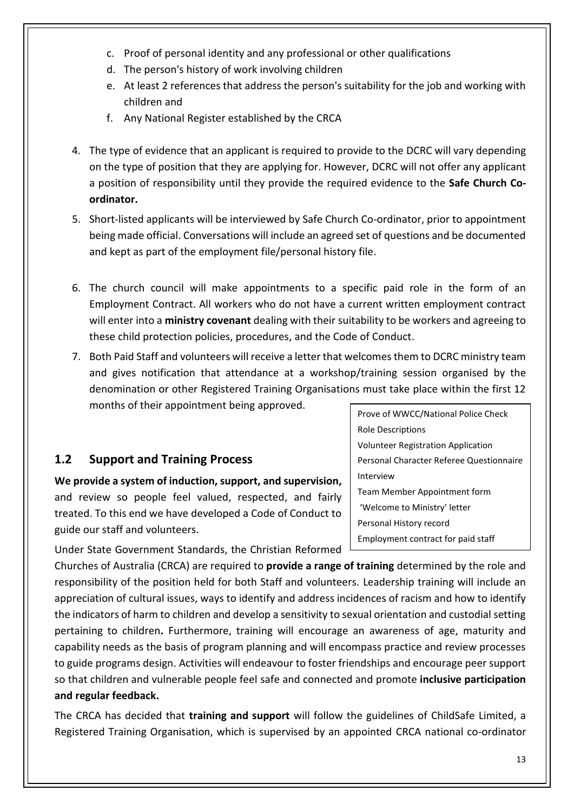- c. Proof of personal identity and any professional or other qualifications
- d. The person's history of work involving children
- e. At least 2 references that address the person's suitability for the job and working with children and
- f. Any National Register established by the CRCA
- 4. The type of evidence that an applicant is required to provide to the DCRC will vary depending on the type of position that they are applying for. However, DCRC will not offer any applicant a position of responsibility until they provide the required evidence to the **Safe Church Coordinator.**
- 5. Short-listed applicants will be interviewed by Safe Church Co-ordinator, prior to appointment being made official. Conversations will include an agreed set of questions and be documented and kept as part of the employment file/personal history file.
- 6. The church council will make appointments to a specific paid role in the form of an Employment Contract. All workers who do not have a current written employment contract will enter into a **ministry covenant** dealing with their suitability to be workers and agreeing to these child protection policies, procedures, and the Code of Conduct.
- 7. Both Paid Staff and volunteers will receive a letter that welcomes them to DCRC ministry team and gives notification that attendance at a workshop/training session organised by the denomination or other Registered Training Organisations must take place within the first 12 months of their appointment being approved.

### **1.2 Support and Training Process**

**We provide a system of induction, support, and supervision,**  and review so people feel valued, respected, and fairly treated. To this end we have developed a Code of Conduct to guide our staff and volunteers.

Under State Government Standards, the Christian Reformed

Churches of Australia (CRCA) are required to **provide a range of training** determined by the role and responsibility of the position held for both Staff and volunteers. Leadership training will include an appreciation of cultural issues, ways to identify and address incidences of racism and how to identify the indicators of harm to children and develop a sensitivity to sexual orientation and custodial setting pertaining to children**.** Furthermore, training will encourage an awareness of age, maturity and capability needs as the basis of program planning and will encompass practice and review processes to guide programs design. Activities will endeavour to foster friendships and encourage peer support so that children and vulnerable people feel safe and connected and promote **inclusive participation and regular feedback.**

The CRCA has decided that **training and support** will follow the guidelines of ChildSafe Limited, a Registered Training Organisation, which is supervised by an appointed CRCA national co-ordinator

Prove of WWCC/National Police Check Role Descriptions Volunteer Registration Application Personal Character Referee Questionnaire Interview Team Member Appointment form 'Welcome to Ministry' letter Personal History record Employment contract for paid staff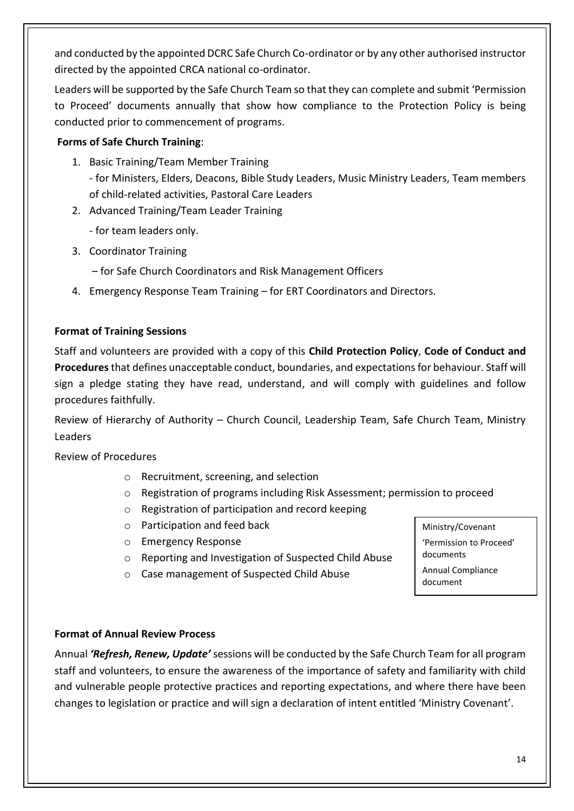and conducted by the appointed DCRC Safe Church Co-ordinator or by any other authorised instructor directed by the appointed CRCA national co-ordinator.

Leaders will be supported by the Safe Church Team so that they can complete and submit 'Permission to Proceed' documents annually that show how compliance to the Protection Policy is being conducted prior to commencement of programs.

#### **Forms of Safe Church Training**:

- 1. Basic Training/Team Member Training - for Ministers, Elders, Deacons, Bible Study Leaders, Music Ministry Leaders, Team members of child-related activities, Pastoral Care Leaders
- 2. Advanced Training/Team Leader Training
	- for team leaders only.
- 3. Coordinator Training
	- for Safe Church Coordinators and Risk Management Officers
- 4. Emergency Response Team Training for ERT Coordinators and Directors.

### **Format of Training Sessions**

Staff and volunteers are provided with a copy of this **Child Protection Policy**, **Code of Conduct and Procedures**that defines unacceptable conduct, boundaries, and expectations for behaviour. Staff will sign a pledge stating they have read, understand, and will comply with guidelines and follow procedures faithfully.

Review of Hierarchy of Authority – Church Council, Leadership Team, Safe Church Team, Ministry Leaders

Review of Procedures

- o Recruitment, screening, and selection
- o Registration of programs including Risk Assessment; permission to proceed
- o Registration of participation and record keeping
- o Participation and feed back
- o Emergency Response
- o Reporting and Investigation of Suspected Child Abuse
- o Case management of Suspected Child Abuse
- Ministry/Covenant 'Permission to Proceed' documents

Annual Compliance document

### **Format of Annual Review Process**

Annual *'Refresh, Renew, Update'* sessions will be conducted by the Safe Church Team for all program staff and volunteers, to ensure the awareness of the importance of safety and familiarity with child and vulnerable people protective practices and reporting expectations, and where there have been changes to legislation or practice and will sign a declaration of intent entitled 'Ministry Covenant'.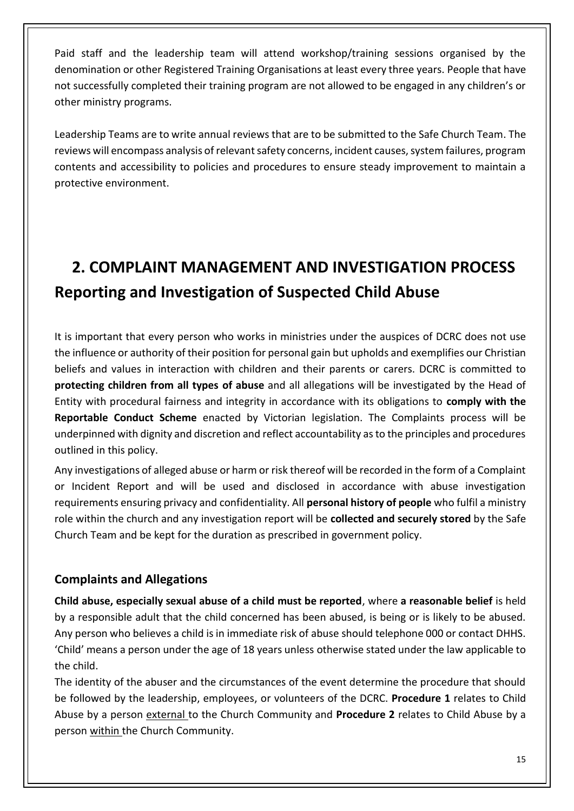Paid staff and the leadership team will attend workshop/training sessions organised by the denomination or other Registered Training Organisations at least every three years. People that have not successfully completed their training program are not allowed to be engaged in any children's or other ministry programs.

Leadership Teams are to write annual reviews that are to be submitted to the Safe Church Team. The reviews will encompass analysis of relevant safety concerns, incident causes, system failures, program contents and accessibility to policies and procedures to ensure steady improvement to maintain a protective environment.

# **2. COMPLAINT MANAGEMENT AND INVESTIGATION PROCESS Reporting and Investigation of Suspected Child Abuse**

It is important that every person who works in ministries under the auspices of DCRC does not use the influence or authority of their position for personal gain but upholds and exemplifies our Christian beliefs and values in interaction with children and their parents or carers. DCRC is committed to **protecting children from all types of abuse** and all allegations will be investigated by the Head of Entity with procedural fairness and integrity in accordance with its obligations to **comply with the Reportable Conduct Scheme** enacted by Victorian legislation. The Complaints process will be underpinned with dignity and discretion and reflect accountability as to the principles and procedures outlined in this policy.

Any investigations of alleged abuse or harm or risk thereof will be recorded in the form of a Complaint or Incident Report and will be used and disclosed in accordance with abuse investigation requirements ensuring privacy and confidentiality. All **personal history of people** who fulfil a ministry role within the church and any investigation report will be **collected and securely stored** by the Safe Church Team and be kept for the duration as prescribed in government policy.

### **Complaints and Allegations**

**Child abuse, especially sexual abuse of a child must be reported**, where **a reasonable belief** is held by a responsible adult that the child concerned has been abused, is being or is likely to be abused. Any person who believes a child is in immediate risk of abuse should telephone 000 or contact DHHS. 'Child' means a person under the age of 18 years unless otherwise stated under the law applicable to the child.

The identity of the abuser and the circumstances of the event determine the procedure that should be followed by the leadership, employees, or volunteers of the DCRC. **Procedure 1** relates to Child Abuse by a person external to the Church Community and **Procedure 2** relates to Child Abuse by a person within the Church Community.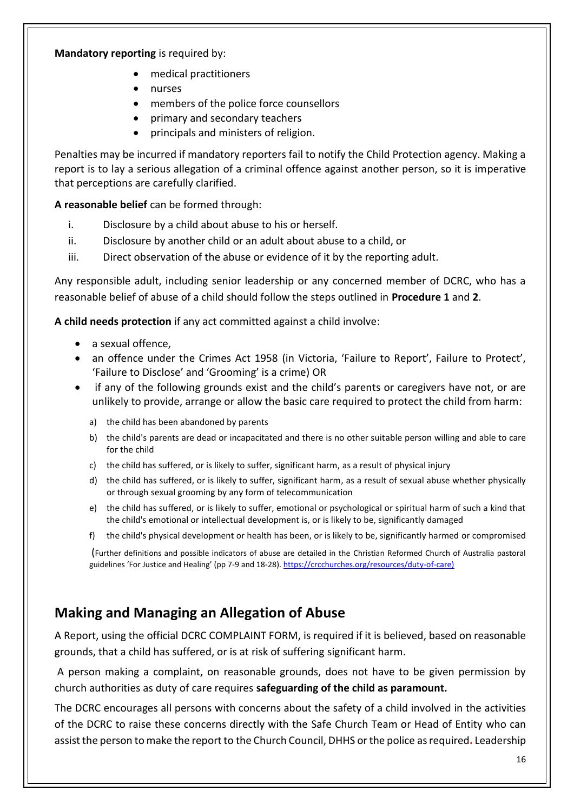#### **Mandatory reporting** is required by:

- medical practitioners
- nurses
- members of the police force counsellors
- primary and secondary teachers
- principals and ministers of religion.

Penalties may be incurred if mandatory reporters fail to notify the Child Protection agency. Making a report is to lay a serious allegation of a criminal offence against another person, so it is imperative that perceptions are carefully clarified.

**A reasonable belief** can be formed through:

- i. Disclosure by a child about abuse to his or herself.
- ii. Disclosure by another child or an adult about abuse to a child, or
- iii. Direct observation of the abuse or evidence of it by the reporting adult.

Any responsible adult, including senior leadership or any concerned member of DCRC, who has a reasonable belief of abuse of a child should follow the steps outlined in **Procedure 1** and **2**.

**A child needs protection** if any act committed against a child involve:

- a sexual offence,
- an offence under the Crimes Act 1958 (in Victoria, 'Failure to Report', Failure to Protect', 'Failure to Disclose' and 'Grooming' is a crime) OR
- if any of the following grounds exist and the child's parents or caregivers have not, or are unlikely to provide, arrange or allow the basic care required to protect the child from harm:
	- a) the child has been abandoned by parents
	- b) the child's parents are dead or incapacitated and there is no other suitable person willing and able to care for the child
	- c) the child has suffered, or is likely to suffer, significant harm, as a result of physical injury
	- d) the child has suffered, or is likely to suffer, significant harm, as a result of sexual abuse whether physically or through sexual grooming by any form of telecommunication
	- e) the child has suffered, or is likely to suffer, emotional or psychological or spiritual harm of such a kind that the child's emotional or intellectual development is, or is likely to be, significantly damaged
	- f) the child's physical development or health has been, or is likely to be, significantly harmed or compromised

(Further definitions and possible indicators of abuse are detailed in the Christian Reformed Church of Australia pastoral guidelines 'For Justice and Healing' (pp 7-9 and 18-28). [https://crcchurches.org/resources/duty-of-care\)](https://crcchurches.org/resources/duty-of-care)

## **Making and Managing an Allegation of Abuse**

A Report, using the official DCRC COMPLAINT FORM, is required if it is believed, based on reasonable grounds, that a child has suffered, or is at risk of suffering significant harm.

A person making a complaint, on reasonable grounds, does not have to be given permission by church authorities as duty of care requires **safeguarding of the child as paramount.**

The DCRC encourages all persons with concerns about the safety of a child involved in the activities of the DCRC to raise these concerns directly with the Safe Church Team or Head of Entity who can assist the person to make the report to the Church Council, DHHS or the police as required**.** Leadership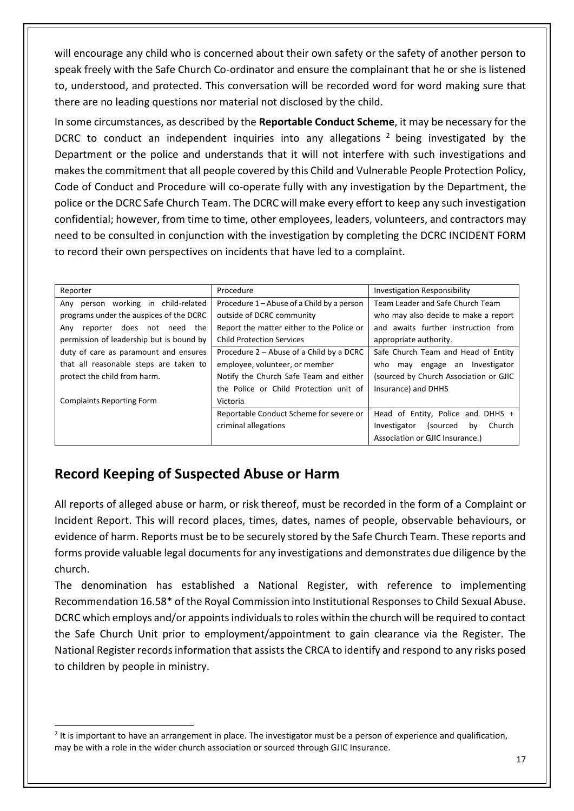will encourage any child who is concerned about their own safety or the safety of another person to speak freely with the Safe Church Co-ordinator and ensure the complainant that he or she is listened to, understood, and protected. This conversation will be recorded word for word making sure that there are no leading questions nor material not disclosed by the child.

In some circumstances, as described by the **Reportable Conduct Scheme**, it may be necessary for the DCRC to conduct an independent inquiries into any allegations  $2$  being investigated by the Department or the police and understands that it will not interfere with such investigations and makes the commitment that all people covered by this Child and Vulnerable People Protection Policy, Code of Conduct and Procedure will co-operate fully with any investigation by the Department, the police or the DCRC Safe Church Team. The DCRC will make every effort to keep any such investigation confidential; however, from time to time, other employees, leaders, volunteers, and contractors may need to be consulted in conjunction with the investigation by completing the DCRC INCIDENT FORM to record their own perspectives on incidents that have led to a complaint.

| Reporter                                 | Procedure                                  | <b>Investigation Responsibility</b>      |  |
|------------------------------------------|--------------------------------------------|------------------------------------------|--|
| Any person working in child-related      | Procedure 1 – Abuse of a Child by a person | Team Leader and Safe Church Team         |  |
| programs under the auspices of the DCRC  | outside of DCRC community                  | who may also decide to make a report     |  |
| does not need the<br>Any<br>reporter     | Report the matter either to the Police or  | and awaits further instruction from      |  |
| permission of leadership but is bound by | <b>Child Protection Services</b>           | appropriate authority.                   |  |
| duty of care as paramount and ensures    | Procedure 2 – Abuse of a Child by a DCRC   | Safe Church Team and Head of Entity      |  |
| that all reasonable steps are taken to   | employee, volunteer, or member             | may engage an Investigator<br>who        |  |
| protect the child from harm.             | Notify the Church Safe Team and either     | (sourced by Church Association or GJIC   |  |
|                                          | the Police or Child Protection unit of     | Insurance) and DHHS                      |  |
| <b>Complaints Reporting Form</b>         | Victoria                                   |                                          |  |
|                                          | Reportable Conduct Scheme for severe or    | Head of Entity, Police and DHHS +        |  |
|                                          | criminal allegations                       | Church<br>Investigator<br>(sourced<br>by |  |
|                                          |                                            | Association or GJIC Insurance.)          |  |

## **Record Keeping of Suspected Abuse or Harm**

All reports of alleged abuse or harm, or risk thereof, must be recorded in the form of a Complaint or Incident Report. This will record places, times, dates, names of people, observable behaviours, or evidence of harm. Reports must be to be securely stored by the Safe Church Team. These reports and forms provide valuable legal documents for any investigations and demonstrates due diligence by the church.

The denomination has established a National Register, with reference to implementing Recommendation 16.58\* of the Royal Commission into Institutional Responses to Child Sexual Abuse. DCRC which employs and/or appoints individuals to roles within the church will be required to contact the Safe Church Unit prior to employment/appointment to gain clearance via the Register. The National Register records information that assists the CRCA to identify and respond to any risks posed to children by people in ministry.

 $2$  It is important to have an arrangement in place. The investigator must be a person of experience and qualification, may be with a role in the wider church association or sourced through GJIC Insurance.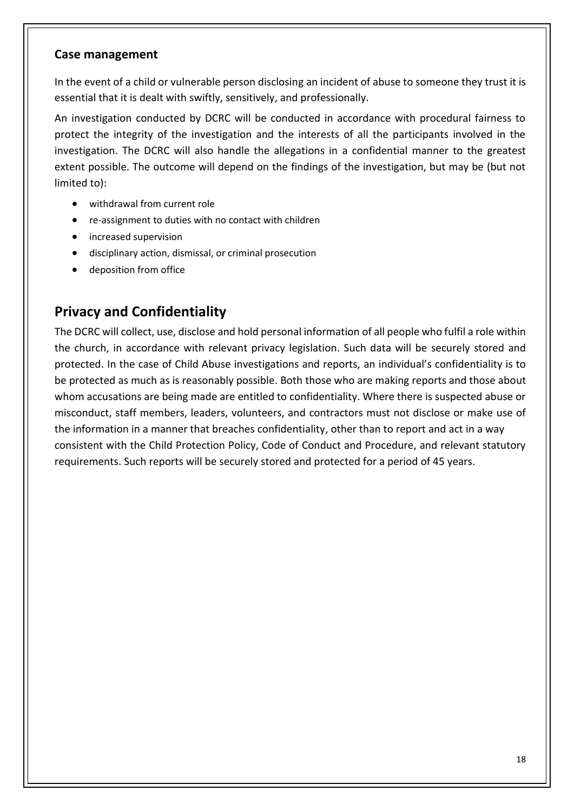### **Case management**

In the event of a child or vulnerable person disclosing an incident of abuse to someone they trust it is essential that it is dealt with swiftly, sensitively, and professionally.

An investigation conducted by DCRC will be conducted in accordance with procedural fairness to protect the integrity of the investigation and the interests of all the participants involved in the investigation. The DCRC will also handle the allegations in a confidential manner to the greatest extent possible. The outcome will depend on the findings of the investigation, but may be (but not limited to):

- withdrawal from current role
- re-assignment to duties with no contact with children
- increased supervision
- disciplinary action, dismissal, or criminal prosecution
- deposition from office

### **Privacy and Confidentiality**

The DCRC will collect, use, disclose and hold personal information of all people who fulfil a role within the church, in accordance with relevant privacy legislation. Such data will be securely stored and protected. In the case of Child Abuse investigations and reports, an individual's confidentiality is to be protected as much as is reasonably possible. Both those who are making reports and those about whom accusations are being made are entitled to confidentiality. Where there is suspected abuse or misconduct, staff members, leaders, volunteers, and contractors must not disclose or make use of the information in a manner that breaches confidentiality, other than to report and act in a way consistent with the Child Protection Policy, Code of Conduct and Procedure, and relevant statutory requirements. Such reports will be securely stored and protected for a period of 45 years.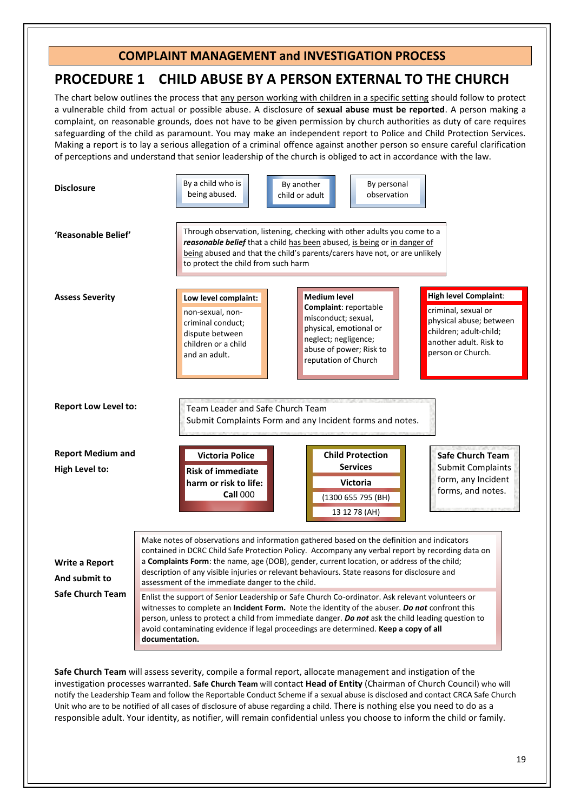#### **COMPLAINT MANAGEMENT and INVESTIGATION PROCESS**

### **PROCEDURE 1 CHILD ABUSE BY A PERSON EXTERNAL TO THE CHURCH**

The chart below outlines the process that any person working with children in a specific setting should follow to protect a vulnerable child from actual or possible abuse. A disclosure of **sexual abuse must be reported**. A person making a complaint, on reasonable grounds, does not have to be given permission by church authorities as duty of care requires safeguarding of the child as paramount. You may make an independent report to Police and Child Protection Services. Making a report is to lay a serious allegation of a criminal offence against another person so ensure careful clarification of perceptions and understand that senior leadership of the church is obliged to act in accordance with the law.



**Safe Church Team** will assess severity, compile a formal report, allocate management and instigation of the investigation processes warranted. **Safe Church Team** will contact **Head of Entity** (Chairman of Church Council) who will notify the Leadership Team and follow the Reportable Conduct Scheme if a sexual abuse is disclosed and contact CRCA Safe Church Unit who are to be notified of all cases of disclosure of abuse regarding a child. There is nothing else you need to do as a responsible adult. Your identity, as notifier, will remain confidential unless you choose to inform the child or family.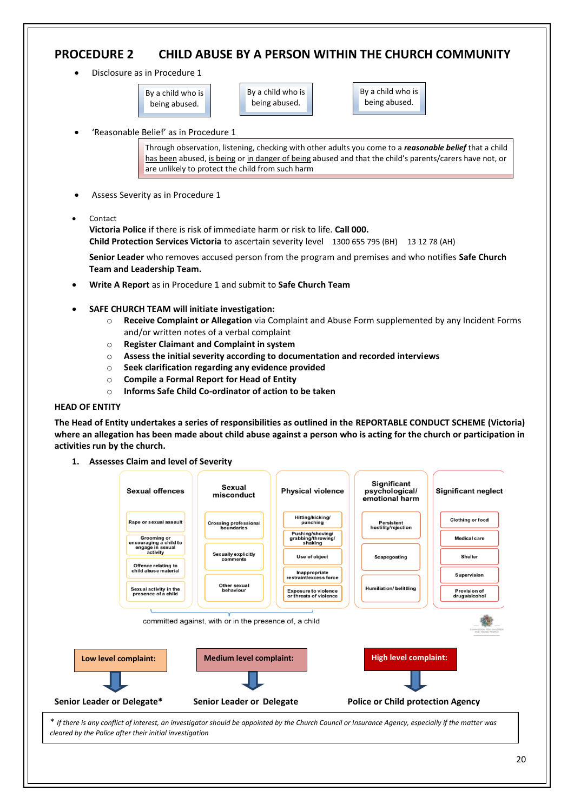### **PROCEDURE 2 CHILD ABUSE BY A PERSON WITHIN THE CHURCH COMMUNITY**

• Disclosure as in Procedure 1

By a child who is being abused.

By a child who is being abused.

• 'Reasonable Belief' as in Procedure 1

By a child who is being abused.

Through observation, listening, checking with other adults you come to a *reasonable belief* that a child has been abused, is being or in danger of being abused and that the child's parents/carers have not, or are unlikely to protect the child from such harm

- Assess Severity as in Procedure 1
- Contact

**Victoria Police** if there is risk of immediate harm or risk to life. **Call 000.** 

**Child Protection Services Victoria** to ascertain severity level 1300 655 795 (BH) 13 12 78 (AH)

**Senior Leader** who removes accused person from the program and premises and who notifies **Safe Church Team and Leadership Team.**

- **Write A Report** as in Procedure 1 and submit to **Safe Church Team**
- **SAFE CHURCH TEAM will initiate investigation:**
	- o **Receive Complaint or Allegation** via Complaint and Abuse Form supplemented by any Incident Forms and/or written notes of a verbal complaint
	- o **Register Claimant and Complaint in system**
	- o **Assess the initial severity according to documentation and recorded interviews**
	- o **Seek clarification regarding any evidence provided**
	- o **Compile a Formal Report for Head of Entity**
	- o **Informs Safe Child Co-ordinator of action to be taken**

#### **HEAD OF ENTITY**

**The Head of Entity undertakes a series of responsibilities as outlined in the REPORTABLE CONDUCT SCHEME (Victoria) where an allegation has been made about child abuse against a person who is acting for the church or participation in activities run by the church.**

**1. Assesses Claim and level of Severity**

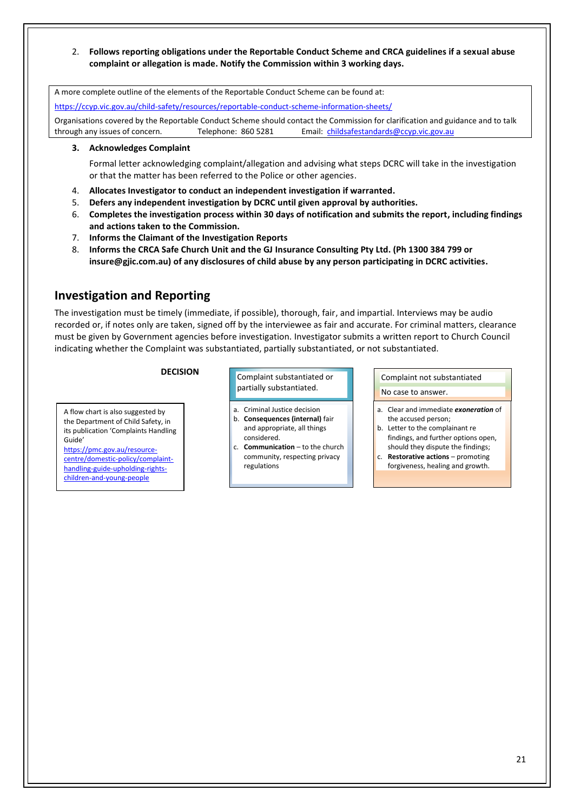2. **Follows reporting obligations under the Reportable Conduct Scheme and CRCA guidelines if a sexual abuse complaint or allegation is made. Notify the Commission within 3 working days.**

A more complete outline of the elements of the Reportable Conduct Scheme can be found at:

<https://ccyp.vic.gov.au/child-safety/resources/reportable-conduct-scheme-information-sheets/>

Organisations covered by the Reportable Conduct Scheme should contact the Commission for clarification and guidance and to talk through any issues of concern. Telephone: 860 5281 Email: [childsafestandards@ccyp.vic.gov.au](mailto:childsafestandards@ccyp.vic.gov.au)

#### **3. Acknowledges Complaint**

Formal letter acknowledging complaint/allegation and advising what steps DCRC will take in the investigation or that the matter has been referred to the Police or other agencies.

- 4. **Allocates Investigator to conduct an independent investigation if warranted.**
- 5. **Defers any independent investigation by DCRC until given approval by authorities.**
- 6. **Completes the investigation process within 30 days of notification and submits the report, including findings and actions taken to the Commission.**
- 7. **Informs the Claimant of the Investigation Reports**
- 8. **Informs the CRCA Safe Church Unit and the GJ Insurance Consulting Pty Ltd. (Ph 1300 384 799 or insure@gjic.com.au) of any disclosures of child abuse by any person participating in DCRC activities.**

### **Investigation and Reporting**

The investigation must be timely (immediate, if possible), thorough, fair, and impartial. Interviews may be audio recorded or, if notes only are taken, signed off by the interviewee as fair and accurate. For criminal matters, clearance must be given by Government agencies before investigation. Investigator submits a written report to Church Council indicating whether the Complaint was substantiated, partially substantiated, or not substantiated.

A flow chart is also suggested by the Department of Child Safety, in its publication 'Complaints Handling Guide'

[https://pmc.gov.au/resource](https://pmc.gov.au/resource-centre/domestic-policy/complaint-handling-guide-upholding-rights-children-and-young-people)[centre/domestic-policy/complaint](https://pmc.gov.au/resource-centre/domestic-policy/complaint-handling-guide-upholding-rights-children-and-young-people)[handling-guide-upholding-rights](https://pmc.gov.au/resource-centre/domestic-policy/complaint-handling-guide-upholding-rights-children-and-young-people)[children-and-young-people](https://pmc.gov.au/resource-centre/domestic-policy/complaint-handling-guide-upholding-rights-children-and-young-people)

**DECISION** Complaint substantiated or partially substantiated.

- a. Criminal Justice decision b. **Consequences (internal)** fair and appropriate, all things considered.
- c. **Communication**  to the church community, respecting privacy regulations

Complaint not substantiated No case to answer.

- a. Clear and immediate *exoneration* of the accused person;
- b. Letter to the complainant re findings, and further options open, should they dispute the findings;
- c. **Restorative actions** promoting forgiveness, healing and growth.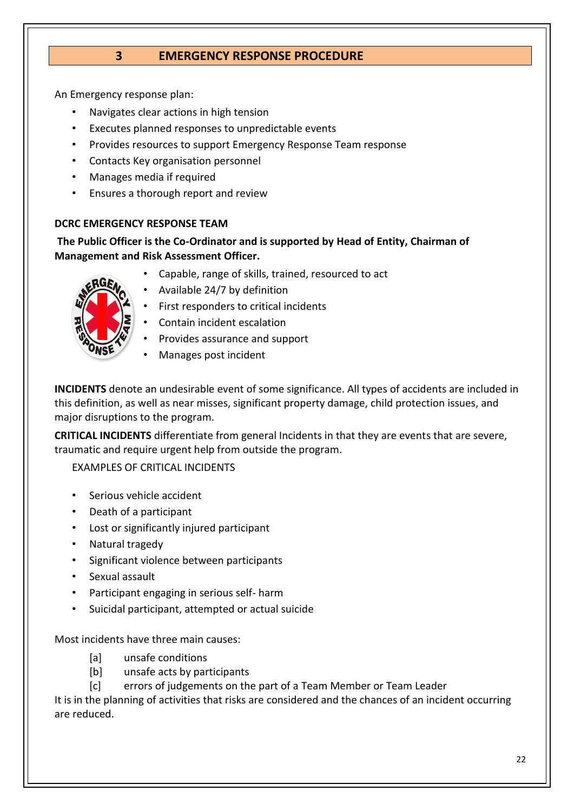### **3 EMERGENCY RESPONSE PROCEDURE**

An Emergency response plan:

- Navigates clear actions in high tension
- Executes planned responses to unpredictable events
- Provides resources to support Emergency Response Team response
- Contacts Key organisation personnel
- Manages media if required
- Ensures a thorough report and review

#### **DCRC EMERGENCY RESPONSE TEAM**

**The Public Officer is the Co-Ordinator and is supported by Head of Entity, Chairman of Management and Risk Assessment Officer.**

- 
- Capable, range of skills, trained, resourced to act
- Available 24/7 by definition
- First responders to critical incidents
- Contain incident escalation
- Provides assurance and support
- Manages post incident

**INCIDENTS** denote an undesirable event of some significance. All types of accidents are included in this definition, as well as near misses, significant property damage, child protection issues, and major disruptions to the program.

**CRITICAL INCIDENTS** differentiate from general Incidents in that they are events that are severe, traumatic and require urgent help from outside the program.

EXAMPLES OF CRITICAL INCIDENTS

- Serious vehicle accident
- Death of a participant
- Lost or significantly injured participant
- Natural tragedy
- Significant violence between participants
- Sexual assault
- Participant engaging in serious self- harm
- Suicidal participant, attempted or actual suicide

Most incidents have three main causes:

- [a] unsafe conditions
- [b] unsafe acts by participants
- [c] errors of judgements on the part of a Team Member or Team Leader

It is in the planning of activities that risks are considered and the chances of an incident occurring are reduced.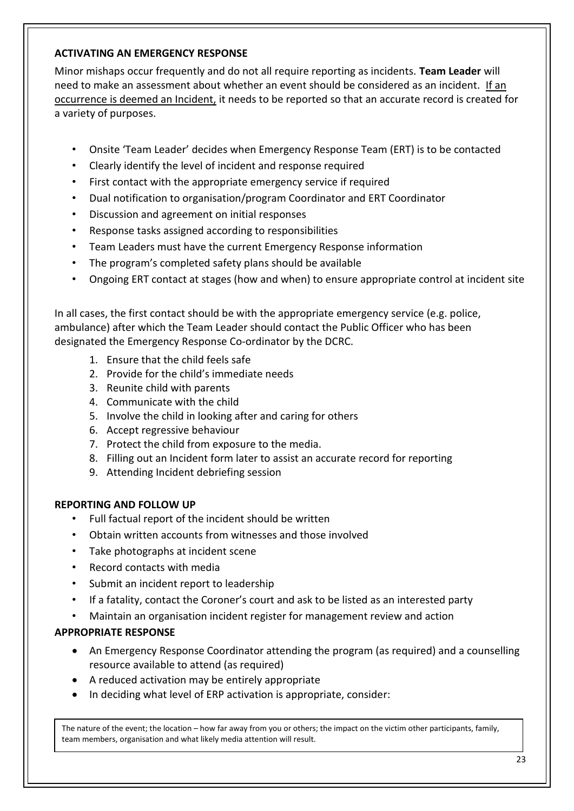#### **ACTIVATING AN EMERGENCY RESPONSE**

Minor mishaps occur frequently and do not all require reporting as incidents. **Team Leader** will need to make an assessment about whether an event should be considered as an incident. If an occurrence is deemed an Incident, it needs to be reported so that an accurate record is created for a variety of purposes.

- Onsite 'Team Leader' decides when Emergency Response Team (ERT) is to be contacted
- Clearly identify the level of incident and response required
- First contact with the appropriate emergency service if required
- Dual notification to organisation/program Coordinator and ERT Coordinator
- Discussion and agreement on initial responses
- Response tasks assigned according to responsibilities
- Team Leaders must have the current Emergency Response information
- The program's completed safety plans should be available
- Ongoing ERT contact at stages (how and when) to ensure appropriate control at incident site

In all cases, the first contact should be with the appropriate emergency service (e.g. police, ambulance) after which the Team Leader should contact the Public Officer who has been designated the Emergency Response Co-ordinator by the DCRC.

- 1. Ensure that the child feels safe
- 2. Provide for the child's immediate needs
- 3. Reunite child with parents
- 4. Communicate with the child
- 5. Involve the child in looking after and caring for others
- 6. Accept regressive behaviour
- 7. Protect the child from exposure to the media.
- 8. Filling out an Incident form later to assist an accurate record for reporting
- 9. Attending Incident debriefing session

#### **REPORTING AND FOLLOW UP**

- Full factual report of the incident should be written
- Obtain written accounts from witnesses and those involved
- Take photographs at incident scene
- Record contacts with media
- Submit an incident report to leadership
- If a fatality, contact the Coroner's court and ask to be listed as an interested party
- Maintain an organisation incident register for management review and action

#### **APPROPRIATE RESPONSE**

- An Emergency Response Coordinator attending the program (as required) and a counselling resource available to attend (as required)
- A reduced activation may be entirely appropriate
- In deciding what level of ERP activation is appropriate, consider:

The nature of the event; the location – how far away from you or others; the impact on the victim other participants, family, team members, organisation and what likely media attention will result.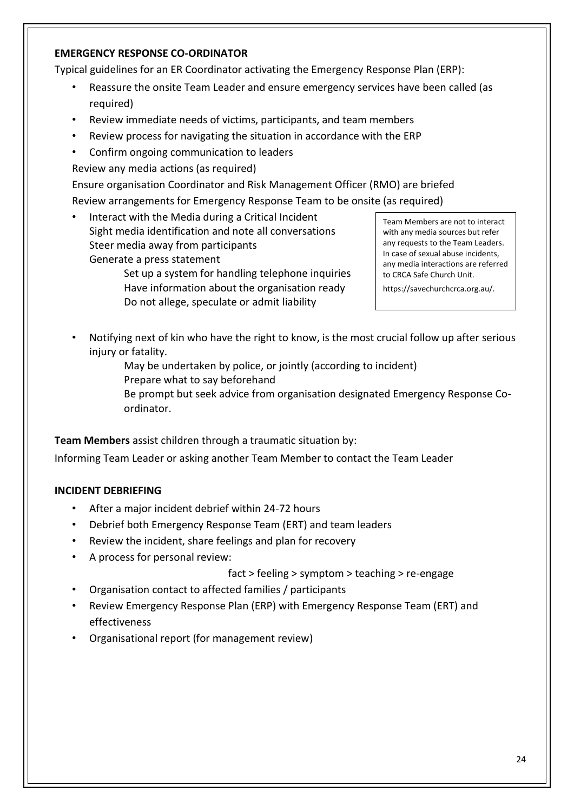#### **EMERGENCY RESPONSE CO-ORDINATOR**

Typical guidelines for an ER Coordinator activating the Emergency Response Plan (ERP):

- Reassure the onsite Team Leader and ensure emergency services have been called (as required)
- Review immediate needs of victims, participants, and team members
- Review process for navigating the situation in accordance with the ERP
- Confirm ongoing communication to leaders

Review any media actions (as required)

Ensure organisation Coordinator and Risk Management Officer (RMO) are briefed Review arrangements for Emergency Response Team to be onsite (as required)

• Interact with the Media during a Critical Incident Sight media identification and note all conversations Steer media away from participants Generate a press statement

> Set up a system for handling telephone inquiries Have information about the organisation ready Do not allege, speculate or admit liability

Team Members are not to interact with any media sources but refer any requests to the Team Leaders. In case of sexual abuse incidents, any media interactions are referred to CRCA Safe Church Unit.

https://savechurchcrca.org.au/.

• Notifying next of kin who have the right to know, is the most crucial follow up after serious injury or fatality.

> May be undertaken by police, or jointly (according to incident) Prepare what to say beforehand

Be prompt but seek advice from organisation designated Emergency Response Coordinator.

**Team Members** assist children through a traumatic situation by:

Informing Team Leader or asking another Team Member to contact the Team Leader

#### **INCIDENT DEBRIEFING**

- After a major incident debrief within 24-72 hours
- Debrief both Emergency Response Team (ERT) and team leaders
- Review the incident, share feelings and plan for recovery
- A process for personal review:

fact > feeling > symptom > teaching > re-engage

- Organisation contact to affected families / participants
- Review Emergency Response Plan (ERP) with Emergency Response Team (ERT) and effectiveness
- Organisational report (for management review)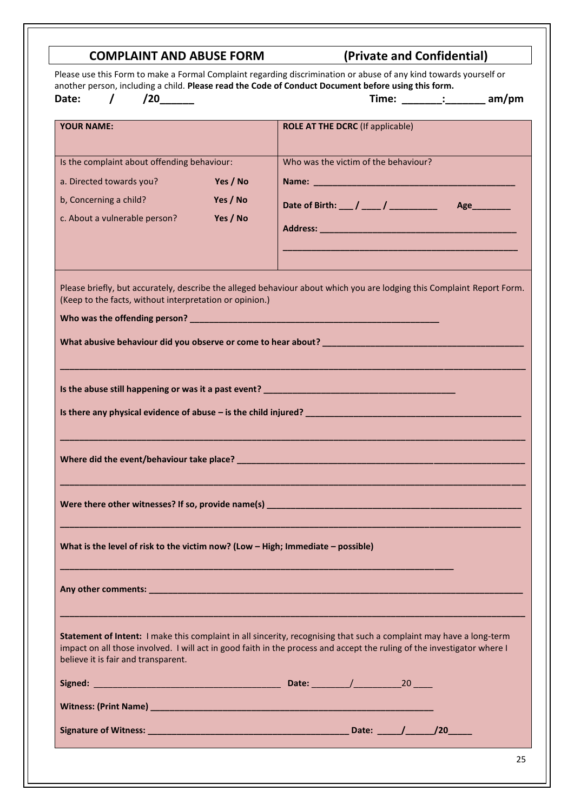| another person, including a child. Please read the Code of Conduct Document before using this form.<br>$\prime$<br>Date:<br>$/20$ <sub>_______</sub><br><b>YOUR NAME:</b> | Please use this Form to make a Formal Complaint regarding discrimination or abuse of any kind towards yourself or<br>Time: _______: ________ am/pm<br><b>ROLE AT THE DCRC</b> (If applicable)                                                  |
|---------------------------------------------------------------------------------------------------------------------------------------------------------------------------|------------------------------------------------------------------------------------------------------------------------------------------------------------------------------------------------------------------------------------------------|
|                                                                                                                                                                           |                                                                                                                                                                                                                                                |
|                                                                                                                                                                           |                                                                                                                                                                                                                                                |
| Is the complaint about offending behaviour:<br>a. Directed towards you?<br>Yes / No<br>b, Concerning a child?<br>Yes / No<br>c. About a vulnerable person?<br>Yes / No    | Who was the victim of the behaviour?                                                                                                                                                                                                           |
| (Keep to the facts, without interpretation or opinion.)                                                                                                                   | Please briefly, but accurately, describe the alleged behaviour about which you are lodging this Complaint Report Form.                                                                                                                         |
|                                                                                                                                                                           |                                                                                                                                                                                                                                                |
|                                                                                                                                                                           |                                                                                                                                                                                                                                                |
| Where did the event/behaviour take place?                                                                                                                                 |                                                                                                                                                                                                                                                |
|                                                                                                                                                                           | Were there other witnesses? If so, provide name(s) <b>Container and Container and Container and Container and Container</b>                                                                                                                    |
| What is the level of risk to the victim now? (Low - High; Immediate - possible)                                                                                           |                                                                                                                                                                                                                                                |
|                                                                                                                                                                           |                                                                                                                                                                                                                                                |
|                                                                                                                                                                           | Statement of Intent: I make this complaint in all sincerity, recognising that such a complaint may have a long-term<br>impact on all those involved. I will act in good faith in the process and accept the ruling of the investigator where I |
| believe it is fair and transparent.                                                                                                                                       |                                                                                                                                                                                                                                                |
|                                                                                                                                                                           |                                                                                                                                                                                                                                                |
|                                                                                                                                                                           |                                                                                                                                                                                                                                                |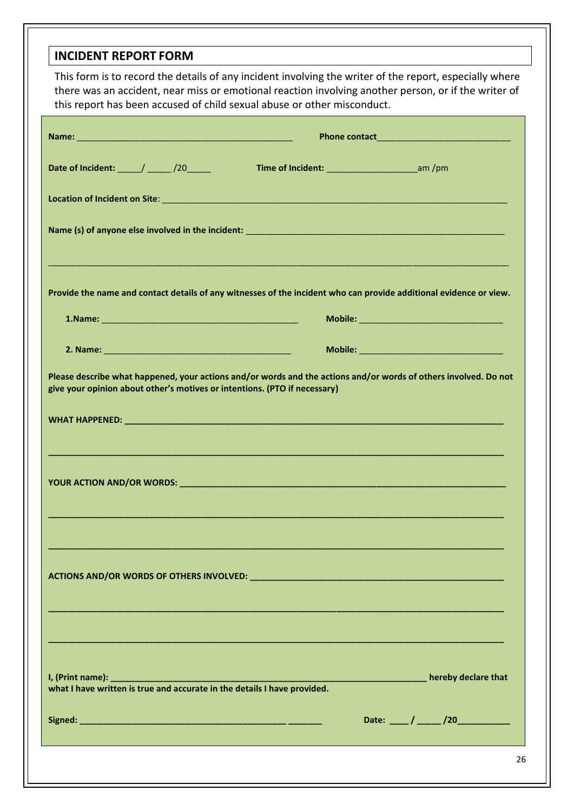### **INCIDENT REPORT FORM**

| This form is to record the details of any incident involving the writer of the report, especially where<br>there was an accident, near miss or emotional reaction involving another person, or if the writer of<br>this report has been accused of child sexual abuse or other misconduct. |  |                                             |  |
|--------------------------------------------------------------------------------------------------------------------------------------------------------------------------------------------------------------------------------------------------------------------------------------------|--|---------------------------------------------|--|
|                                                                                                                                                                                                                                                                                            |  |                                             |  |
| Date of Incident: ____/ ____/20____                                                                                                                                                                                                                                                        |  |                                             |  |
|                                                                                                                                                                                                                                                                                            |  |                                             |  |
|                                                                                                                                                                                                                                                                                            |  |                                             |  |
|                                                                                                                                                                                                                                                                                            |  |                                             |  |
| Provide the name and contact details of any witnesses of the incident who can provide additional evidence or view.                                                                                                                                                                         |  | Mobile: ___________________________________ |  |
|                                                                                                                                                                                                                                                                                            |  |                                             |  |
| Please describe what happened, your actions and/or words and the actions and/or words of others involved. Do not<br>give your opinion about other's motives or intentions. (PTO if necessary)                                                                                              |  |                                             |  |
|                                                                                                                                                                                                                                                                                            |  |                                             |  |
|                                                                                                                                                                                                                                                                                            |  |                                             |  |
|                                                                                                                                                                                                                                                                                            |  |                                             |  |
|                                                                                                                                                                                                                                                                                            |  |                                             |  |
|                                                                                                                                                                                                                                                                                            |  |                                             |  |
| what I have written is true and accurate in the details I have provided.                                                                                                                                                                                                                   |  |                                             |  |
|                                                                                                                                                                                                                                                                                            |  | Date: ____/ _____/20___________             |  |
|                                                                                                                                                                                                                                                                                            |  | 26                                          |  |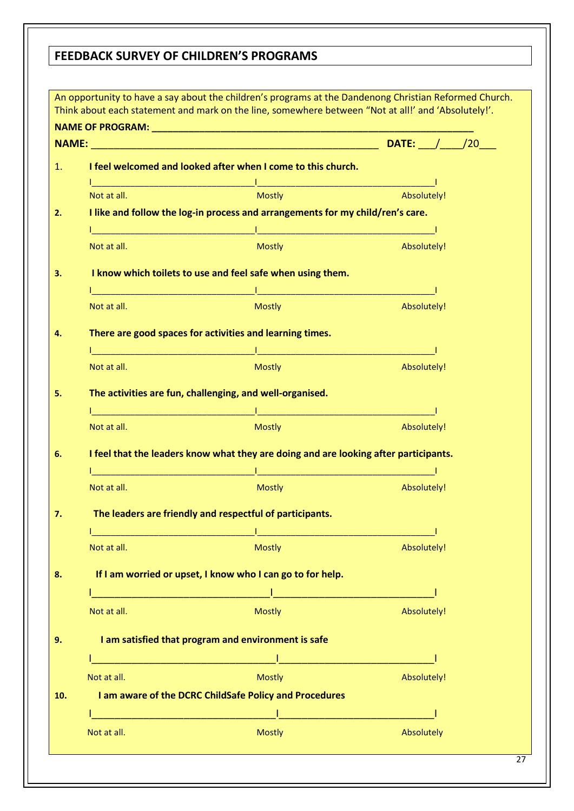### **FEEDBACK SURVEY OF CHILDREN'S PROGRAMS**

|                                                                                                                                 |                                                                                                                                                                                                                                  | <b>DATE:</b> / /20                                                                                                    |
|---------------------------------------------------------------------------------------------------------------------------------|----------------------------------------------------------------------------------------------------------------------------------------------------------------------------------------------------------------------------------|-----------------------------------------------------------------------------------------------------------------------|
|                                                                                                                                 | I feel welcomed and looked after when I come to this church.                                                                                                                                                                     |                                                                                                                       |
|                                                                                                                                 | <u> 1990 - Johann Stoff, deutscher Stoff, der Stoff, der Stoff, der Stoff, der Stoff, der Stoff, der Stoff, der S</u>                                                                                                            |                                                                                                                       |
| Not at all.                                                                                                                     | Mostly                                                                                                                                                                                                                           | Absolutely!                                                                                                           |
|                                                                                                                                 | I like and follow the log-in process and arrangements for my child/ren's care.                                                                                                                                                   |                                                                                                                       |
|                                                                                                                                 | <u> 1 i januari - Januari Samuel Barbara, menyebara</u>                                                                                                                                                                          |                                                                                                                       |
| Not at all.                                                                                                                     | Mostly                                                                                                                                                                                                                           | Absolutely!                                                                                                           |
|                                                                                                                                 | I know which toilets to use and feel safe when using them.                                                                                                                                                                       |                                                                                                                       |
| $\mathcal{L}^{\text{max}}_{\text{max}}$ and $\mathcal{L}^{\text{max}}_{\text{max}}$ and $\mathcal{L}^{\text{max}}_{\text{max}}$ | the contract of the contract of the contract of the contract of the contract of                                                                                                                                                  |                                                                                                                       |
| Not at all.                                                                                                                     | Mostly                                                                                                                                                                                                                           | Absolutely!                                                                                                           |
|                                                                                                                                 |                                                                                                                                                                                                                                  |                                                                                                                       |
|                                                                                                                                 | There are good spaces for activities and learning times.                                                                                                                                                                         |                                                                                                                       |
| Not at all.                                                                                                                     | <u> 1989 - Jan James James James James James James James James James James James James James James James James J</u><br>Mostly                                                                                                   | Absolutely!                                                                                                           |
|                                                                                                                                 |                                                                                                                                                                                                                                  |                                                                                                                       |
|                                                                                                                                 | The activities are fun, challenging, and well-organised.                                                                                                                                                                         |                                                                                                                       |
| <u> 1989 - Johann Barn, mars eta bainar eta bainar eta hondaren erroman erroman erroman erroman erroman erroman</u>             | <u> 1990 - Johann Barn, mars ann an t-</u>                                                                                                                                                                                       |                                                                                                                       |
| Not at all.                                                                                                                     | <b>Mostly</b>                                                                                                                                                                                                                    | Absolutely!                                                                                                           |
|                                                                                                                                 | I feel that the leaders know what they are doing and are looking after participants.                                                                                                                                             |                                                                                                                       |
|                                                                                                                                 | <u> 1990 - Jan James James Barn, mars and deutscher Stadt and der Stadt and deutscher Stadt and der Stadt and de</u>                                                                                                             |                                                                                                                       |
| Not at all.                                                                                                                     | <b>Mostly</b>                                                                                                                                                                                                                    | Absolutely!                                                                                                           |
|                                                                                                                                 |                                                                                                                                                                                                                                  |                                                                                                                       |
|                                                                                                                                 | The leaders are friendly and respectful of participants.                                                                                                                                                                         |                                                                                                                       |
| Not at all.                                                                                                                     | <u> 1989 - Johann Barbara, martxa al</u><br><u> 1989 - Johann Barbara, martin da basar da basar da basar da basar da basar da basar da basar da basar da basa</u><br><b>Mostly</b>                                               | Absolutely!                                                                                                           |
|                                                                                                                                 |                                                                                                                                                                                                                                  |                                                                                                                       |
|                                                                                                                                 | If I am worried or upset, I know who I can go to for help.                                                                                                                                                                       |                                                                                                                       |
|                                                                                                                                 | <u> 1989 - Johann Barn, mars eta bat erroman erroman erroman erroman erroman erroman erroman erroman erroman err</u>                                                                                                             |                                                                                                                       |
| Not at all.                                                                                                                     | <b>Mostly</b>                                                                                                                                                                                                                    | Absolutely!                                                                                                           |
|                                                                                                                                 |                                                                                                                                                                                                                                  |                                                                                                                       |
|                                                                                                                                 | I am satisfied that program and environment is safe                                                                                                                                                                              |                                                                                                                       |
|                                                                                                                                 |                                                                                                                                                                                                                                  |                                                                                                                       |
| Not at all.                                                                                                                     | <b>Mostly</b>                                                                                                                                                                                                                    | Absolutely!                                                                                                           |
|                                                                                                                                 | I am aware of the DCRC ChildSafe Policy and Procedures                                                                                                                                                                           |                                                                                                                       |
|                                                                                                                                 | a matamatan sebagai kecamatan di kalendar dan kalendar dan banyak di kalendar dan banyak dalam kalendar dan ba<br>Kata tanggap dan banyak dan banyak dan banyak dan banyak dan banyak dan banyak dan banyak dan banyak dan banya | <u> 1989 - Jan James James Barnett, martin de la populación de la propia de la propia de la propia de la propia d</u> |
| Not at all.                                                                                                                     | <b>Mostly</b>                                                                                                                                                                                                                    | Absolutely                                                                                                            |